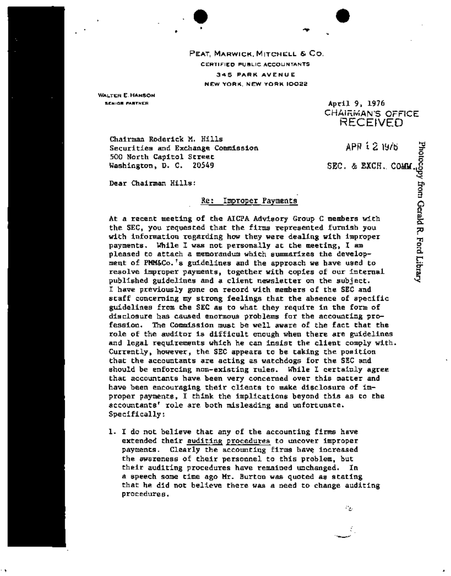PEAT, MARWICK, MITCHELL & CO. CERTIFIED PUBLIC ACCOUNTANTS 345 PARK AVENUE NEW YORK, NEW YORK 10022

<sup>|</sup>"qr

WALTER E. HANSON SENIOR PARTN [R

I

April 9, 1976 CHAIRMAN'S OFFICE RECEIVED

Chairman Roderick M. Hills Securities and Exchange Commission 500 North Capitol Street Washington, D. C. 20549

**APP .;. 2, 19/15 =-.**  SEC. & EXCH. COMM

4

Dear Chairman Hills:

## Re: Improper Payments

At a recent meeting of the AICPA Advisory Group C members with the SEC, you requested that the firms represented furnish you with information regarding how they were dealing with improper payments. While I was not personally at the meeting, I am pleased to attach a memorandum which summarizes the development of PMM&Co.'s guidelines and the approach we have used to resolve improper payments, together with copies of our internal published guidelines and a client newsletter on the subject. I have previously gone on record with members of the SEC and staff concerning my strong feelings that the absence of specific guidelines from the SEC as to what they require in the form of disclosure has caused enormous problems for the accounting profession. The Commission must be well aware of the fact that the role of the auditor is difficult enough when there are guidelines and legal requirements which he can insist the client comply with. Currently, however, the SEC appears to be taking the position that the accountants are acting as watchdogs for the SEC and should be enforcing non-existing rules. While I certainly agree that accountants have been very concerned over this matter and have been encouraging their clients to make disclosure of improper payments, I think the implications beyond this as to the accountants' role are both misleading and unfortunate. Specifically:

i. I do not believe that any of the accounting firms have extended their auditing procedures to uncover improper payments. Clearly the accounting firms have increased the awareness of their personnel to this problem, but their auditing procedures have remained unchanged. In a speech some time ago Mr. Burton was quoted as stating that he did not believe there was a need to change auditing procedures.

o<br>T o P\_\_ 9 b..6. o"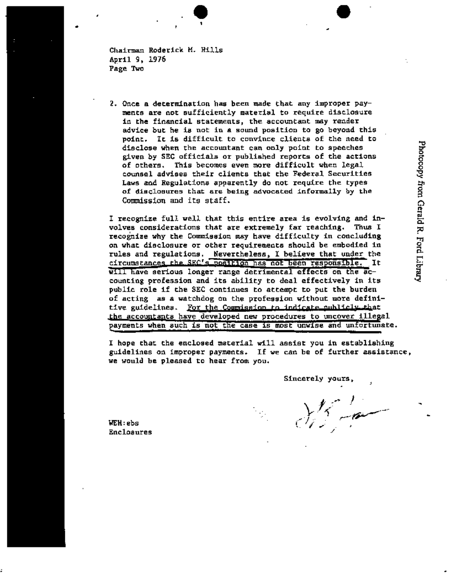Chairman Roderick M. Hills April 9, 1976 Page Two

2. Once a determination has been made that any improper payments are not sufficiently material to require disclosure in the financial statements, the accountant may render advice but he is not in a sound position to go beyond this point. It is difficult to convince clients of the need to disclose when the accountant can only point to speeches given by SEC officials or published reports of the actions of others. This becomes even more difficult when legal counsel advises their clients that the Federal Securities Laws and Regulations apparently do not require the types of disclosures that are being advocated informally by the Commission and its staff.

I recognize full well that this entire area is evolving and involves considerations that are extremely far reaching. Thus I recognlze why the Commission may have difficulty in concluding on what disclosure or other requirements should be embodied in rules and regulations. Nevertheless, I believe that under the circumstances the SEC's position has not been responsible. It will have serious longer range detrimental effects on the accounting profession and its ability to deal effectively in its public role if the SEC continues to attempt to put the burden of acting as a watchdog on the profession without more definitive guidelines. For the Commission to indicate publicly that the accountants have developed new procedures to uncover illegal payments when such is not the case is most unwise and unfortunate.

I hope that the enclosed material will assist you in establishing guidelines on improper payments. If we can be of further assistance, we would be pleased to hear from you.

| I

Sincerely yours,

 $\frac{1}{2}$  . In WEH:ebs  $\mathfrak{l}$  //  $\mathfrak{l}$ 

Enclosures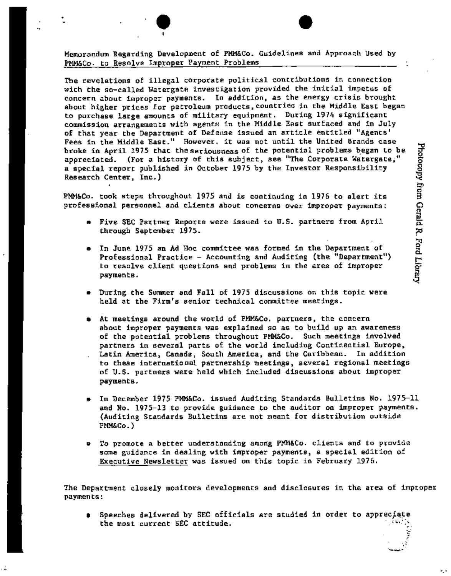Memorandum Regarding Development of PMM&Co. Guidelines and Approach Used by PMM&Co. to Resolve Improper Payment Problems

. . . . . . <del>.</del>

.

The revelations of illegal corporate political contributions in connection with the so-called Watergate investigation provided the initial impetus of concern about improper payments. In addition, as the energy crisis brought about higher prices for petroleum products,countries in the Middle East began to purchase large amounts of military equipment. During 1974 significant commission arrangements with agents in the Middle East surfaced and in July of that year the Department of Defense issued an article entitled "Agents' Fees in the Middle East." However, it was not until the United Brands case broke in April 1975 that the seriousness of the potential problems began to be appreciated. (For a history of this subject, see "The Corporate Watergate," a special report published in October 1975 by the Investor Responsibility Research Center, Inc.)

PMM&Co. took steps throughout 1975 and is continuing in 1976 to alert its professional personnel and clients about concerns over improper payments:

- g Five SEC Partner Reports were issued to U.S. partners from April through September 1975.
- $\bullet$  . In June 1975 an Ad Hoc committee was formed in the Department of . Professional Practice - Accounting and Auditing (the "Department") to resolve client questions and problems in the area of improper payments.
- During the Summer and Fall of 1975 discussions on this topic were held at the Firm's senior technical committee meetings.
- At meetings around the world of PMM&Co. partners, the concern about improper payments was explained so as to build up an awareness of the potential problems throughout PMM&Co. Such meetings involved partners in several parts of the world including Continential Europe, Latin America, Canada, South America, and the Caribbean. In addition to these international partnership meetings, several regional meetings of U.S. partners were held which included discussions about improper payments.
- In December 1975 PMM&Co. issued Auditing Standards Bulletins No. 1975-11 and No. 1975-13 to provide guidance to the auditor on improper payments. (Auditing Standards Bulletins are not meant for distribution outside **PMM&Co.)**
- e To promote a better understanding among PMM&Co. clients and to provide some guidance in dealing with improper payments, a special edition of Executive Newsletter was issued on this topic in February 1976.

The Department closely monitors developments and disclosures in the area of improper paymen ts :

**0** Speeches delivered by SEC officials are studied in order to appreciate the most current SEC attitude.

..'2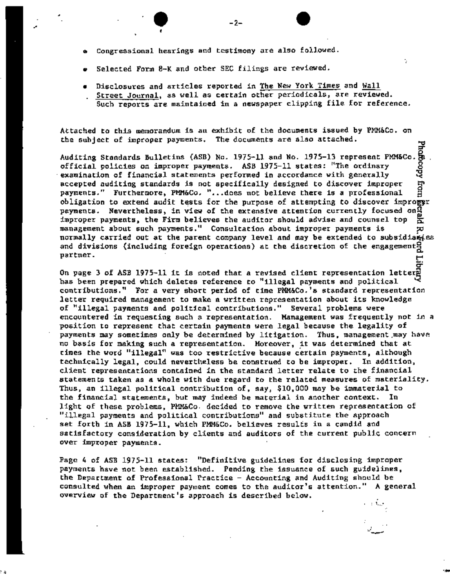- Congressional hearings and testimony are also followed.
- Selected Form 8-K and other SEC filings are reviewed.
- @ Disclosures and articles reported in The New York Times and Wall Street Journal, as well as certain other periodicals, are reviewed. Such reports are maintained in a newspaper clipping file for reference.

=r

cr

• i .e

Attached to this memorandum is an exhibit of the documents issued by PMM&Co. on the subject of improper payments. The documents are also attached.

Auditing Standards Bulletins (ASB) No. 1975-11 and No. 1975-13 represent PMM&Co. $\frac{56}{65}$ <br>official policies on improper payments. ASB 1975-11 states: "The ordinary ...<br>examination of financial statements performed in acc official policies on improper payments. ASB 1975-11 states: "The ordinary examination of financial statements performed in accordance with generally accepted auditing standards is not specifically designed to discover improper Fon payments." Furthermore, PMM&Co. "...does not believe there is a professional obligation to extend audit tests for the purpose of attempting to discover improger payments. Nevertheless, in view of the extensive attention currently focused on $\frac{\alpha}{\alpha}$ improper payments, the Firm believes the auditor should advise and counsel top  $\frac{1}{2}$ management about such payments." Consultation about improper payments is  $\overline{p}$ normally carried out at the parent company level and may be extended to subsidiaries and divisions (including foreign operations) at the discretion of the engagement<sup>9</sup> partner. ~.

On page 3 of ASB 1975-11 it is noted that a revised client representation letter<u>e</u> has been prepared which deletes reference to "illegal payments and political contributions." For a very short period of time PMM&Co.'s standard representation letter required management to make a written representation about its knowledge of "illegal payments and political contributions." Several problems were encountered in requesting such a representation. Management was frequently not in a position to represent that certain payments were legal because the legality of payments may sometimes only be determined by litigation. Thus, management.may have no basis for making such a representation. Moreover, it was determined that at times the word "illegal" was too restrictive because certain payments, although technically legal, could nevertheless be construed to be improper. In addition, client representations contained in the standard letter relate to the financial statements taken as a whole with due regard to the related measures of materiality. Thus, an illegal political contribution of, say, \$i0,000 may be immaterial to the financial statements, but may indeed be material in another context. In light of these problems, PAN&Co, decided to remove the written representation of "illegal payments and political contributions" and substitute the approach set forth in ASB 1975-11, which PMM&Co. believes results in a candid and satisfactory consideration by clients and auditors of the current public concern over improper payments.

Page 4 of ASB 1975-11 states: "Definitive guidelines for disclosing improper payments have not been established. Pending the issuance of such guidelines, the Department of Professional Practice - Accounting and Auditing should be consulted when an improper payment comes to the auditor's attention." A general overview of the Department's approach is described below.

-2-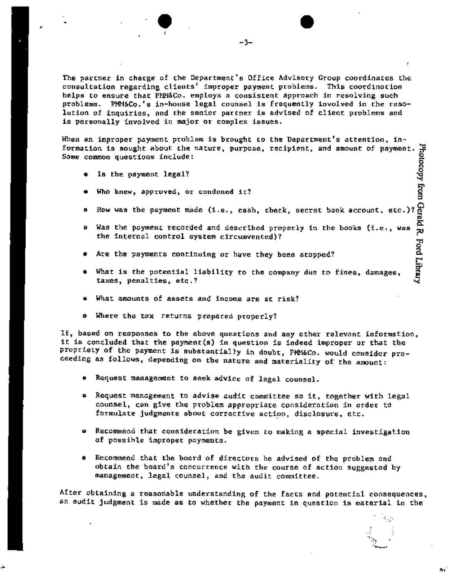The partner in charge of the Department's Office Advisory Group coordinates the consultation regarding clients' improper payment problems. This coordination helps to ensure that PAN&Co. employs a consistent approach in resolving such problems. PMM&Co.'s in-house legal counsel is frequently involved in the resolution of inquiries, and the senior partner is advised of client problems and is personally involved in major or complex issues.

When an improper pa~nent problem is brought to the Department's attention, information is sought about the mature, purpose, recipient, and amount of payment.  $\maltese$ Some common questions include: O O

Q Is the payment legal?

f

- o Who knew, approved, or condoned it?
- a How was the payment made (i.e., cash, check, secret bank account, etc.)?
- $\bullet$  Was the payment recorded and described properly in the books (i.e., was  $\frac{\ }{\Theta}$ the internal control system circumvented)? Ford Library
- Are the payments continuing or have they been stopped?
- o What is the potential liability to the company due to fines, damages, taxes, penalties, etc.?
- What amounts of assets and income are at risk?
- o Where the tax returns prepared properly?

If, based on responses to the above questions and any other relevant information, it is concluded that the payment(s) in question is indeed improper or that the propriety of the payment is substantially in doubt, PMM&Co. would consider proceeding as follows, depending on the nature and materiality of the amount:

- e Request management to seek advice of legal counsel.
- **<sup>Q</sup>**Request management to advise audit committee so it, together with legal counsel, can give the problem appropriate consideration in order to formulate judgments about corrective action, disclosure, etc.
- o Recommend that consideration be given to making a special investigation of possible improper payments.
- **<sup>Q</sup>**Recommend that the board of directors be advised of the problem and obtain the board's concurrence with the course of action suggested by management, legal counsel, and the audit committee.

After obtaining a reasonable understanding of the facts and potential consequences, an audit judgment is made as to whether the payment in question is material in the

> . . "/2 °

,J  $\mathcal{A}=\mathcal{A}+\mathcal{B}$